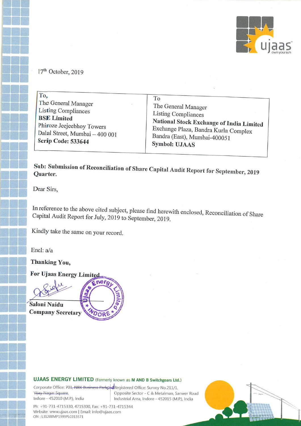

17'h October, 2019

| To,                            | To                                              |
|--------------------------------|-------------------------------------------------|
| The General Manager            | The General Manager                             |
| <b>Listing Compliances</b>     | <b>Listing Compliances</b>                      |
| <b>BSE</b> Limited             | <b>National Stock Exchange of India Limited</b> |
| Phiroze Jeejeebhoy Towers      | Exchange Plaza, Bandra Kurla Complex            |
| Dalal Street, Mumbai - 400 001 | Bandra (East), Mumbai-400051                    |
| Scrip Code: 533644             | <b>Symbol: UJAAS</b>                            |

Sub: Submission of Reconciliation of Share Capital Audit Report for September, 2019<br>Quarter. Quarter.

Dear Sirs,

I.-

 $\begin{bmatrix} 1 \\ 1 \\ 2 \end{bmatrix}$ 

II<br>III<br>IIII

In reference to the above cited subject, please find herewith enclosed, Reconciliation of Share Capital Audit Report for July, <sup>2019</sup> to September, 2019.

Kindly take the same on your record.

Encl: a/a

Encl: a/a<br>Thanking You,

Encl: a/a<br>Thanking You,<br>For Ujaas Energy Limited



Saloni Naidu Company Secretary



#### UJAAS ENERGY LIMITED (Formerly known as M AND B Switchgears Ltd.)

UJAAS ENERGY LIMITED (Formerly known as M AND B Switchgears Ltd Corporate Office: 701, NRK Business Parkowd Registered Office: Survey No.211/1, Vijay Nagar Square, **UJAAS ENERG**<br>Corporate Office: 74<br>V<del>ijay</del> Nagar Square,<br>Indore - 452010 (M Opposite Sector - C & Metalman, Sanwer Road Indore - 452010 (M.P.), India Industrial Area, Indore — 452015 (M.P.), India

Ph: +91-731-4715330, 4715300, Fax: +91-731-4715344 Website: www.ujaas.com <sup>1</sup> Email: info@ujaas.com CIN : L31200MP1999PLC013571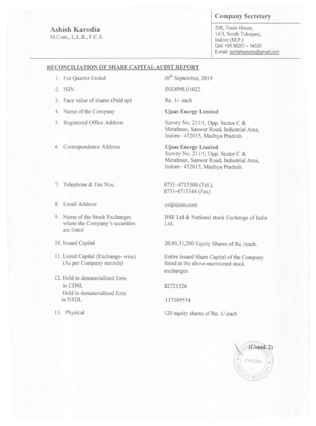# Ashish Karodia

M.Com., L.L.B., F.C.S.

## **Company Secretary**

208, Trade House, 14/3, South Tukoganj, Indore (M.P.) Cell: +91 98261 - 14533 E-mail: ashishkarodia@gmail.com

## RECONCILIATION OF SHARE CAPITAL AUDIT REPORT

- 1. For Quarter Ended
- 2. ISIN
- 3. Face value of shares (Paid up)
- 4. Name of the Company
- 5. Registered Office Address
- 6. Correspondence Address
- 7. Telephone & Fax Nos.
- 8. Email Address
- 

30<sup>th</sup> September, 2019

INE899L01022

Re. 1/- each

**Ujaas Energy Limited** 

Survey No. 211/1, Opp. Sector C & Metalman, Sanwer Road, Industrial Area, Indore-452015, Madhya Pradesh...

**Ujaas Energy Limited** Survey No. 211/1, Opp. Sector C & Metalman, Sanwer Road, Industrial Area, Indore-452015, Madhya Pradesh.

0731-4715300 (Tel.), 0731-4715344 (Fax)

### $cs@$ ujaas.com

9. Name of the Stock Exchanges where the Company's securities are listed

10. Issued Capital

- 11. Listed Capital (Exchange-wise) (As per Company records)
- 12. Held in dematerialized form in CDSL Held in dematerialized form in NSDL
- 13. Physical

BSE Ltd & National stock Exchange of India Ltd.

20,00,31,200 Equity Shares of Re.1each.

Entire issued Share Capital of the Company listed at the above-mentioned stock exchanges

82721526

117309554

120 equity shares of Re. 1/-each

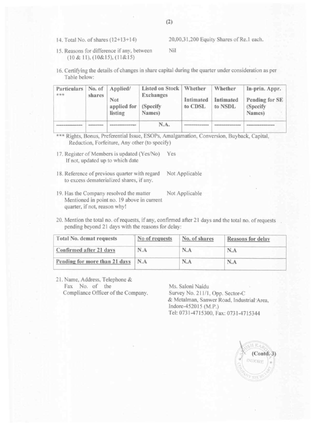15. Reasons for difference if any, between Nil (10& ll).(l0&lS).(il&l5)

16. Certifying the details of changes in share capital during the quarter under consideration as per Table below:

| Particulars<br>古古古 | shares | No. of   Applied/<br>Not<br>applied for<br>listing | Listed on Stock   Whether<br><b>Exchanges</b><br>(Specify)<br>Names) | Intimated<br>to CDSL | Whether<br>Intimated<br>to NSDL | In-prin. Appr.<br>Pending for SE<br>(Specify)<br>Names) |
|--------------------|--------|----------------------------------------------------|----------------------------------------------------------------------|----------------------|---------------------------------|---------------------------------------------------------|
|                    |        |                                                    | N.A.                                                                 |                      |                                 |                                                         |

\*\*\* Rights, Bonus, Preferential Issue, ESOPs, Amalgamation, Conversion, Buyback, Capital, Reduction, Forfeiture, Any other (to specify)

- 17. Register of Members is updated (Yes/No) Yes If not, updated up to which date
- 18. Reference of previous quarter with regard Not Applicable to excess dematerialized shares, if any.
- 19. Has the Company resolved the matter Not Applicable Mentioned in point no. l9 above in current quarter. if not. reason why!

| 20. Mention the total no. of requests, if any, confirmed after 21 days and the total no. of requests<br>pending beyond 21 days with the reasons for delay: |                |               |                   |  |  |  |
|------------------------------------------------------------------------------------------------------------------------------------------------------------|----------------|---------------|-------------------|--|--|--|
| Total No. demat requests                                                                                                                                   | No of requests | No. of shares | Reasons for delay |  |  |  |
| Confirmed after 21 days                                                                                                                                    | N.A            | N.A           | N.A               |  |  |  |
| Pending for more than 21 days                                                                                                                              | N.A            | N.A           | N.A               |  |  |  |

21. Name, Address, Telephone & Fax No. of the Ms. Saloni Naidu Compliance Officer of the Company. Survey No. 211/1, Opp. Sector-C

& Metalman. Sanwer Road. lndustrinl'Aren, Indore-452015 (M.P.) Tel: 073l-47l5300. Fax: 0731-4715344